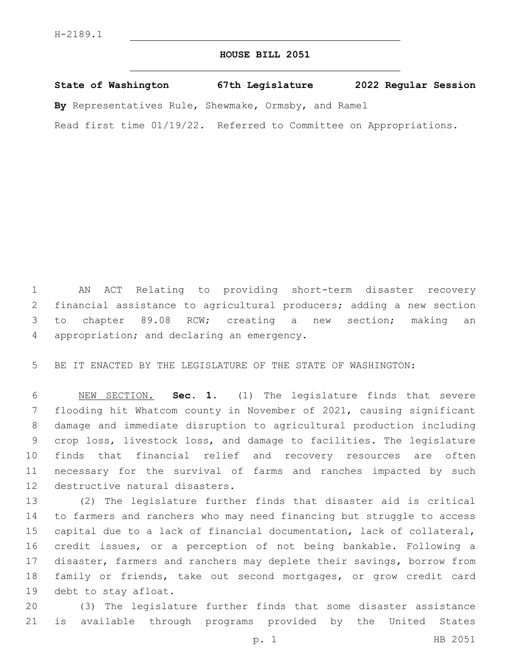## **HOUSE BILL 2051**

**State of Washington 67th Legislature 2022 Regular Session**

**By** Representatives Rule, Shewmake, Ormsby, and Ramel

Read first time 01/19/22. Referred to Committee on Appropriations.

 AN ACT Relating to providing short-term disaster recovery financial assistance to agricultural producers; adding a new section to chapter 89.08 RCW; creating a new section; making an 4 appropriation; and declaring an emergency.

BE IT ENACTED BY THE LEGISLATURE OF THE STATE OF WASHINGTON:

 NEW SECTION. **Sec. 1.** (1) The legislature finds that severe flooding hit Whatcom county in November of 2021, causing significant damage and immediate disruption to agricultural production including crop loss, livestock loss, and damage to facilities. The legislature finds that financial relief and recovery resources are often necessary for the survival of farms and ranches impacted by such destructive natural disasters.

 (2) The legislature further finds that disaster aid is critical to farmers and ranchers who may need financing but struggle to access capital due to a lack of financial documentation, lack of collateral, credit issues, or a perception of not being bankable. Following a disaster, farmers and ranchers may deplete their savings, borrow from family or friends, take out second mortgages, or grow credit card 19 debt to stay afloat.

 (3) The legislature further finds that some disaster assistance is available through programs provided by the United States

p. 1 HB 2051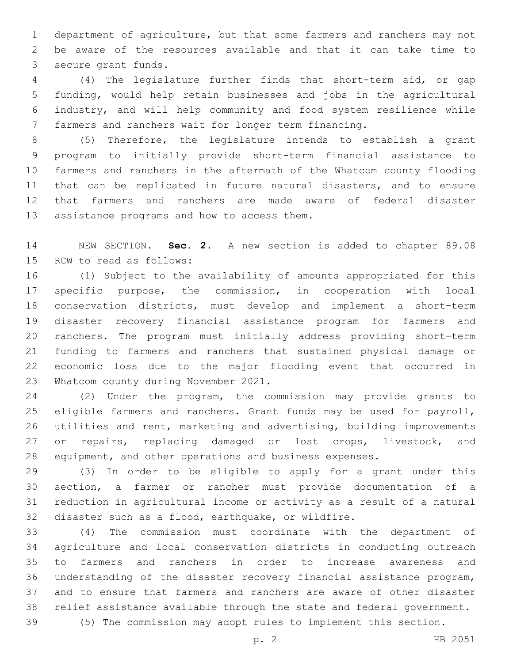department of agriculture, but that some farmers and ranchers may not be aware of the resources available and that it can take time to 3 secure grant funds.

 (4) The legislature further finds that short-term aid, or gap funding, would help retain businesses and jobs in the agricultural industry, and will help community and food system resilience while farmers and ranchers wait for longer term financing.

 (5) Therefore, the legislature intends to establish a grant program to initially provide short-term financial assistance to farmers and ranchers in the aftermath of the Whatcom county flooding that can be replicated in future natural disasters, and to ensure that farmers and ranchers are made aware of federal disaster 13 assistance programs and how to access them.

 NEW SECTION. **Sec. 2.** A new section is added to chapter 89.08 15 RCW to read as follows:

 (1) Subject to the availability of amounts appropriated for this specific purpose, the commission, in cooperation with local conservation districts, must develop and implement a short-term disaster recovery financial assistance program for farmers and ranchers. The program must initially address providing short-term funding to farmers and ranchers that sustained physical damage or economic loss due to the major flooding event that occurred in 23 Whatcom county during November 2021.

 (2) Under the program, the commission may provide grants to 25 eligible farmers and ranchers. Grant funds may be used for payroll, utilities and rent, marketing and advertising, building improvements 27 or repairs, replacing damaged or lost crops, livestock, and equipment, and other operations and business expenses.

 (3) In order to be eligible to apply for a grant under this section, a farmer or rancher must provide documentation of a reduction in agricultural income or activity as a result of a natural disaster such as a flood, earthquake, or wildfire.

 (4) The commission must coordinate with the department of agriculture and local conservation districts in conducting outreach to farmers and ranchers in order to increase awareness and understanding of the disaster recovery financial assistance program, and to ensure that farmers and ranchers are aware of other disaster relief assistance available through the state and federal government.

(5) The commission may adopt rules to implement this section.